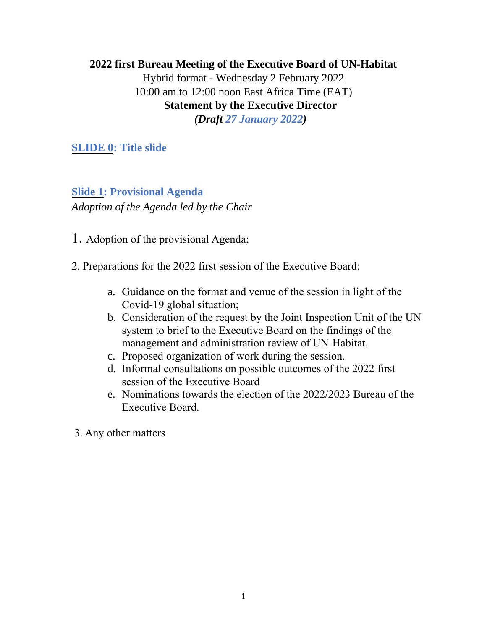# **2022 first Bureau Meeting of the Executive Board of UN-Habitat** Hybrid format - Wednesday 2 February 2022 10:00 am to 12:00 noon East Africa Time (EAT) **Statement by the Executive Director** *(Draft 27 January 2022)*

**SLIDE 0: Title slide**

# **Slide 1: Provisional Agenda** *Adoption of the Agenda led by the Chair*

1. Adoption of the provisional Agenda;

2. Preparations for the 2022 first session of the Executive Board:

- a. Guidance on the format and venue of the session in light of the Covid-19 global situation;
- b. Consideration of the request by the Joint Inspection Unit of the UN system to brief to the Executive Board on the findings of the management and administration review of UN-Habitat.
- c. Proposed organization of work during the session.
- d. Informal consultations on possible outcomes of the 2022 first session of the Executive Board
- e. Nominations towards the election of the 2022/2023 Bureau of the Executive Board.

3. Any other matters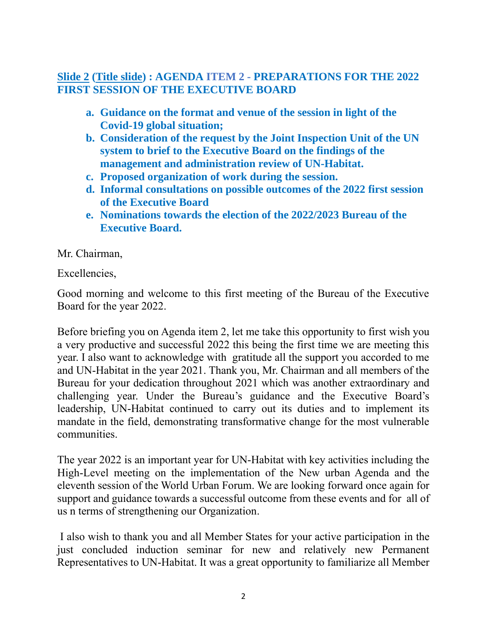## **Slide 2 (Title slide) : AGENDA ITEM 2 - PREPARATIONS FOR THE 2022 FIRST SESSION OF THE EXECUTIVE BOARD**

- **a. Guidance on the format and venue of the session in light of the Covid-19 global situation;**
- **b. Consideration of the request by the Joint Inspection Unit of the UN system to brief to the Executive Board on the findings of the management and administration review of UN-Habitat.**
- **c. Proposed organization of work during the session.**
- **d. Informal consultations on possible outcomes of the 2022 first session of the Executive Board**
- **e. Nominations towards the election of the 2022/2023 Bureau of the Executive Board.**

Mr. Chairman,

Excellencies,

Good morning and welcome to this first meeting of the Bureau of the Executive Board for the year 2022.

Before briefing you on Agenda item 2, let me take this opportunity to first wish you a very productive and successful 2022 this being the first time we are meeting this year. I also want to acknowledge with gratitude all the support you accorded to me and UN-Habitat in the year 2021. Thank you, Mr. Chairman and all members of the Bureau for your dedication throughout 2021 which was another extraordinary and challenging year. Under the Bureau's guidance and the Executive Board's leadership, UN-Habitat continued to carry out its duties and to implement its mandate in the field, demonstrating transformative change for the most vulnerable communities.

The year 2022 is an important year for UN-Habitat with key activities including the High-Level meeting on the implementation of the New urban Agenda and the eleventh session of the World Urban Forum. We are looking forward once again for support and guidance towards a successful outcome from these events and for all of us n terms of strengthening our Organization.

I also wish to thank you and all Member States for your active participation in the just concluded induction seminar for new and relatively new Permanent Representatives to UN-Habitat. It was a great opportunity to familiarize all Member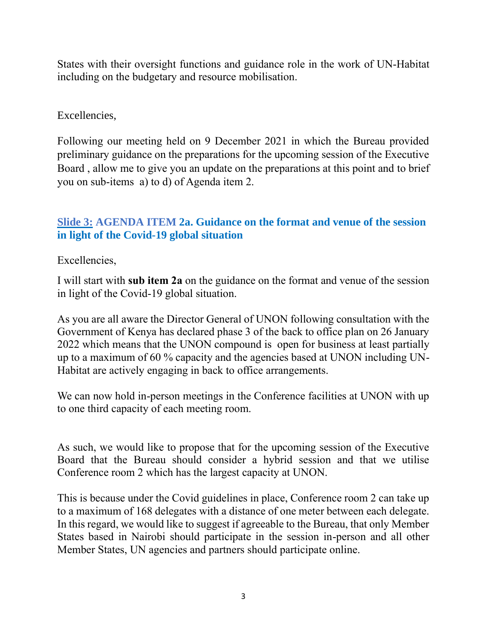States with their oversight functions and guidance role in the work of UN-Habitat including on the budgetary and resource mobilisation.

### Excellencies,

Following our meeting held on 9 December 2021 in which the Bureau provided preliminary guidance on the preparations for the upcoming session of the Executive Board , allow me to give you an update on the preparations at this point and to brief you on sub-items a) to d) of Agenda item 2.

# **Slide 3: AGENDA ITEM 2a. Guidance on the format and venue of the session in light of the Covid-19 global situation**

Excellencies,

I will start with **sub item 2a** on the guidance on the format and venue of the session in light of the Covid-19 global situation.

As you are all aware the Director General of UNON following consultation with the Government of Kenya has declared phase 3 of the back to office plan on 26 January 2022 which means that the UNON compound is open for business at least partially up to a maximum of 60 % capacity and the agencies based at UNON including UN-Habitat are actively engaging in back to office arrangements.

We can now hold in-person meetings in the Conference facilities at UNON with up to one third capacity of each meeting room.

As such, we would like to propose that for the upcoming session of the Executive Board that the Bureau should consider a hybrid session and that we utilise Conference room 2 which has the largest capacity at UNON.

This is because under the Covid guidelines in place, Conference room 2 can take up to a maximum of 168 delegates with a distance of one meter between each delegate. In this regard, we would like to suggest if agreeable to the Bureau, that only Member States based in Nairobi should participate in the session in-person and all other Member States, UN agencies and partners should participate online.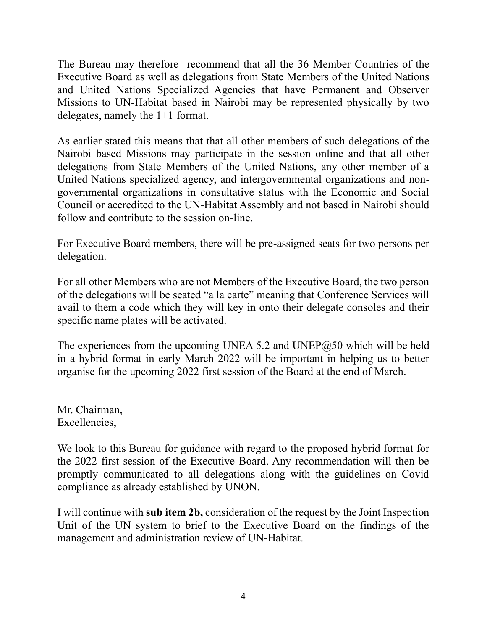The Bureau may therefore recommend that all the 36 Member Countries of the Executive Board as well as delegations from State Members of the United Nations and United Nations Specialized Agencies that have Permanent and Observer Missions to UN-Habitat based in Nairobi may be represented physically by two delegates, namely the 1+1 format.

As earlier stated this means that that all other members of such delegations of the Nairobi based Missions may participate in the session online and that all other delegations from State Members of the United Nations, any other member of a United Nations specialized agency, and intergovernmental organizations and nongovernmental organizations in consultative status with the Economic and Social Council or accredited to the UN-Habitat Assembly and not based in Nairobi should follow and contribute to the session on-line.

For Executive Board members, there will be pre-assigned seats for two persons per delegation.

For all other Members who are not Members of the Executive Board, the two person of the delegations will be seated "a la carte" meaning that Conference Services will avail to them a code which they will key in onto their delegate consoles and their specific name plates will be activated.

The experiences from the upcoming UNEA 5.2 and UNEP $@50$  which will be held in a hybrid format in early March 2022 will be important in helping us to better organise for the upcoming 2022 first session of the Board at the end of March.

Mr. Chairman, Excellencies,

We look to this Bureau for guidance with regard to the proposed hybrid format for the 2022 first session of the Executive Board. Any recommendation will then be promptly communicated to all delegations along with the guidelines on Covid compliance as already established by UNON.

I will continue with **sub item 2b,** consideration of the request by the Joint Inspection Unit of the UN system to brief to the Executive Board on the findings of the management and administration review of UN-Habitat.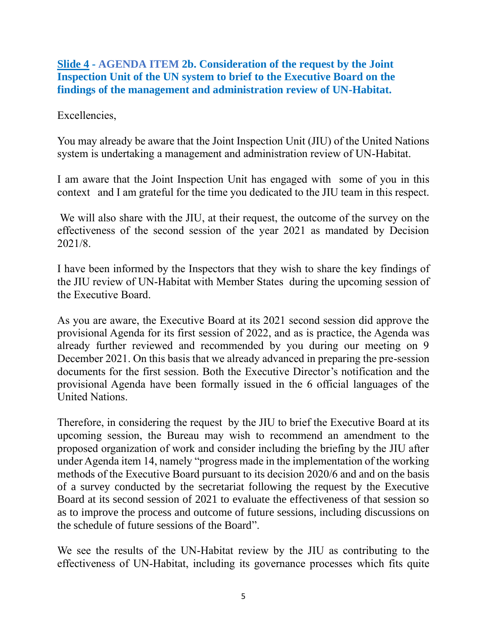### **Slide 4 - AGENDA ITEM 2b. Consideration of the request by the Joint Inspection Unit of the UN system to brief to the Executive Board on the findings of the management and administration review of UN-Habitat.**

### Excellencies,

You may already be aware that the Joint Inspection Unit (JIU) of the United Nations system is undertaking a management and administration review of UN-Habitat.

I am aware that the Joint Inspection Unit has engaged with some of you in this context and I am grateful for the time you dedicated to the JIU team in this respect.

We will also share with the JIU, at their request, the outcome of the survey on the effectiveness of the second session of the year 2021 as mandated by Decision 2021/8.

I have been informed by the Inspectors that they wish to share the key findings of the JIU review of UN-Habitat with Member States during the upcoming session of the Executive Board.

As you are aware, the Executive Board at its 2021 second session did approve the provisional Agenda for its first session of 2022, and as is practice, the Agenda was already further reviewed and recommended by you during our meeting on 9 December 2021. On this basis that we already advanced in preparing the pre-session documents for the first session. Both the Executive Director's notification and the provisional Agenda have been formally issued in the 6 official languages of the United Nations.

Therefore, in considering the request by the JIU to brief the Executive Board at its upcoming session, the Bureau may wish to recommend an amendment to the proposed organization of work and consider including the briefing by the JIU after under Agenda item 14, namely "progress made in the implementation of the working methods of the Executive Board pursuant to its decision 2020/6 and and on the basis of a survey conducted by the secretariat following the request by the Executive Board at its second session of 2021 to evaluate the effectiveness of that session so as to improve the process and outcome of future sessions, including discussions on the schedule of future sessions of the Board".

We see the results of the UN-Habitat review by the JIU as contributing to the effectiveness of UN-Habitat, including its governance processes which fits quite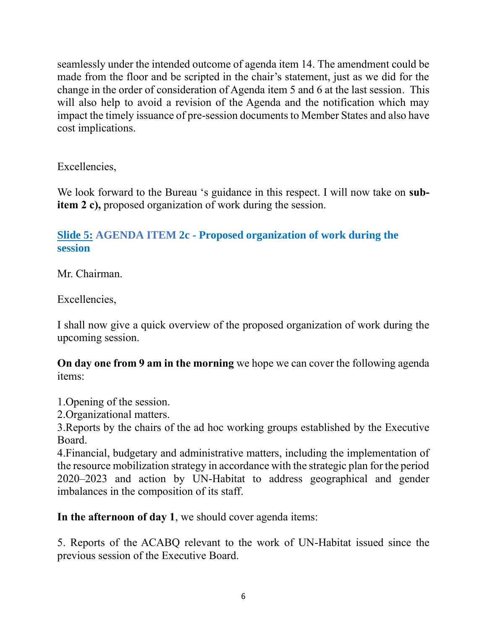seamlessly under the intended outcome of agenda item 14. The amendment could be made from the floor and be scripted in the chair's statement, just as we did for the change in the order of consideration of Agenda item 5 and 6 at the last session. This will also help to avoid a revision of the Agenda and the notification which may impact the timely issuance of pre-session documents to Member States and also have cost implications.

Excellencies,

We look forward to the Bureau 's guidance in this respect. I will now take on **subitem 2 c),** proposed organization of work during the session.

# **Slide 5: AGENDA ITEM 2c - Proposed organization of work during the session**

Mr. Chairman.

Excellencies,

I shall now give a quick overview of the proposed organization of work during the upcoming session.

**On day one from 9 am in the morning** we hope we can cover the following agenda items:

1.Opening of the session.

2.Organizational matters.

3.Reports by the chairs of the ad hoc working groups established by the Executive Board.

4.Financial, budgetary and administrative matters, including the implementation of the resource mobilization strategy in accordance with the strategic plan for the period 2020–2023 and action by UN-Habitat to address geographical and gender imbalances in the composition of its staff.

**In the afternoon of day 1**, we should cover agenda items:

5. Reports of the ACABQ relevant to the work of UN-Habitat issued since the previous session of the Executive Board.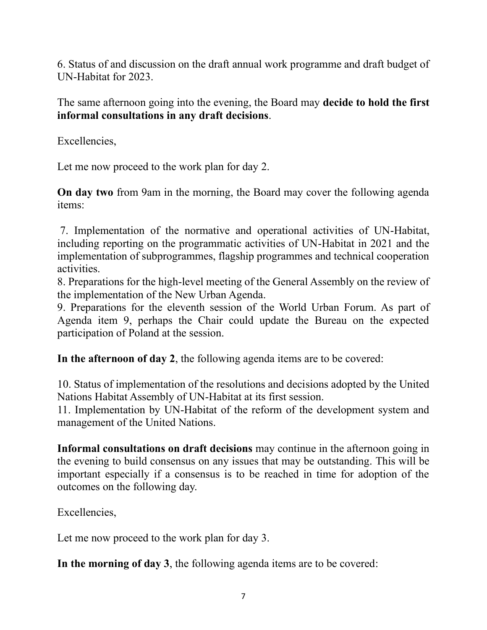6. Status of and discussion on the draft annual work programme and draft budget of UN-Habitat for 2023.

The same afternoon going into the evening, the Board may **decide to hold the first informal consultations in any draft decisions**.

Excellencies,

Let me now proceed to the work plan for day 2.

**On day two** from 9am in the morning, the Board may cover the following agenda items:

7. Implementation of the normative and operational activities of UN-Habitat, including reporting on the programmatic activities of UN-Habitat in 2021 and the implementation of subprogrammes, flagship programmes and technical cooperation activities.

8. Preparations for the high-level meeting of the General Assembly on the review of the implementation of the New Urban Agenda.

9. Preparations for the eleventh session of the World Urban Forum. As part of Agenda item 9, perhaps the Chair could update the Bureau on the expected participation of Poland at the session.

**In the afternoon of day 2**, the following agenda items are to be covered:

10. Status of implementation of the resolutions and decisions adopted by the United Nations Habitat Assembly of UN-Habitat at its first session.

11. Implementation by UN-Habitat of the reform of the development system and management of the United Nations.

**Informal consultations on draft decisions** may continue in the afternoon going in the evening to build consensus on any issues that may be outstanding. This will be important especially if a consensus is to be reached in time for adoption of the outcomes on the following day.

Excellencies,

Let me now proceed to the work plan for day 3.

**In the morning of day 3**, the following agenda items are to be covered: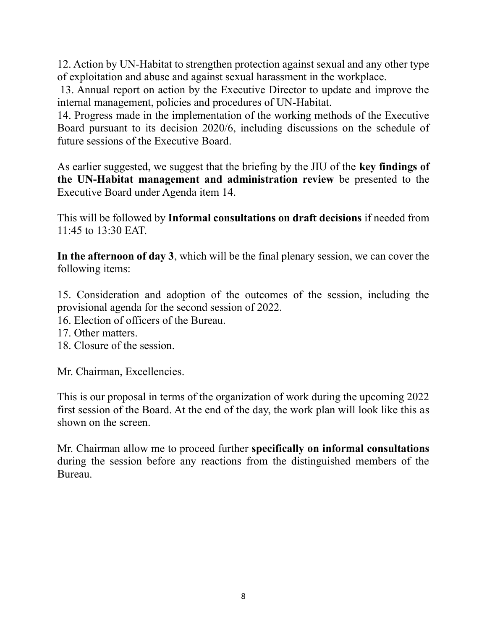12. Action by UN-Habitat to strengthen protection against sexual and any other type of exploitation and abuse and against sexual harassment in the workplace.

13. Annual report on action by the Executive Director to update and improve the internal management, policies and procedures of UN-Habitat.

14. Progress made in the implementation of the working methods of the Executive Board pursuant to its decision 2020/6, including discussions on the schedule of future sessions of the Executive Board.

As earlier suggested, we suggest that the briefing by the JIU of the **key findings of the UN-Habitat management and administration review** be presented to the Executive Board under Agenda item 14.

This will be followed by **Informal consultations on draft decisions** if needed from 11:45 to 13:30 EAT.

**In the afternoon of day 3**, which will be the final plenary session, we can cover the following items:

15. Consideration and adoption of the outcomes of the session, including the provisional agenda for the second session of 2022.

16. Election of officers of the Bureau.

- 17. Other matters.
- 18. Closure of the session.

Mr. Chairman, Excellencies.

This is our proposal in terms of the organization of work during the upcoming 2022 first session of the Board. At the end of the day, the work plan will look like this as shown on the screen.

Mr. Chairman allow me to proceed further **specifically on informal consultations** during the session before any reactions from the distinguished members of the Bureau.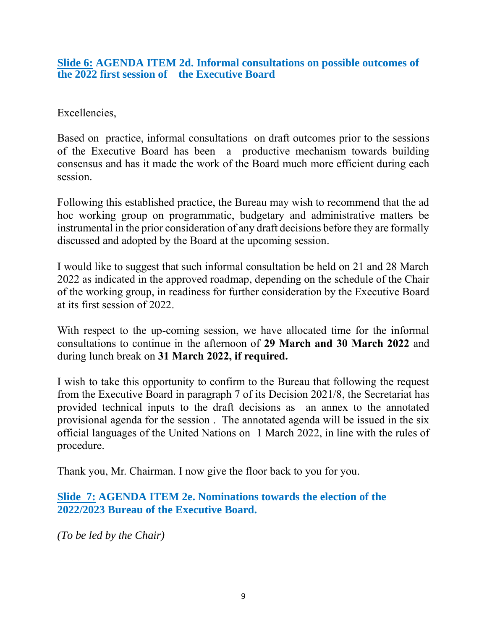#### **Slide 6: AGENDA ITEM 2d. Informal consultations on possible outcomes of the 2022 first session of the Executive Board**

Excellencies,

Based on practice, informal consultations on draft outcomes prior to the sessions of the Executive Board has been a productive mechanism towards building consensus and has it made the work of the Board much more efficient during each session.

Following this established practice, the Bureau may wish to recommend that the ad hoc working group on programmatic, budgetary and administrative matters be instrumental in the prior consideration of any draft decisions before they are formally discussed and adopted by the Board at the upcoming session.

I would like to suggest that such informal consultation be held on 21 and 28 March 2022 as indicated in the approved roadmap, depending on the schedule of the Chair of the working group, in readiness for further consideration by the Executive Board at its first session of 2022.

With respect to the up-coming session, we have allocated time for the informal consultations to continue in the afternoon of **29 March and 30 March 2022** and during lunch break on **31 March 2022, if required.**

I wish to take this opportunity to confirm to the Bureau that following the request from the Executive Board in paragraph 7 of its Decision 2021/8, the Secretariat has provided technical inputs to the draft decisions as an annex to the annotated provisional agenda for the session . The annotated agenda will be issued in the six official languages of the United Nations on 1 March 2022, in line with the rules of procedure.

Thank you, Mr. Chairman. I now give the floor back to you for you.

**Slide 7: AGENDA ITEM 2e. Nominations towards the election of the 2022/2023 Bureau of the Executive Board.**

*(To be led by the Chair)*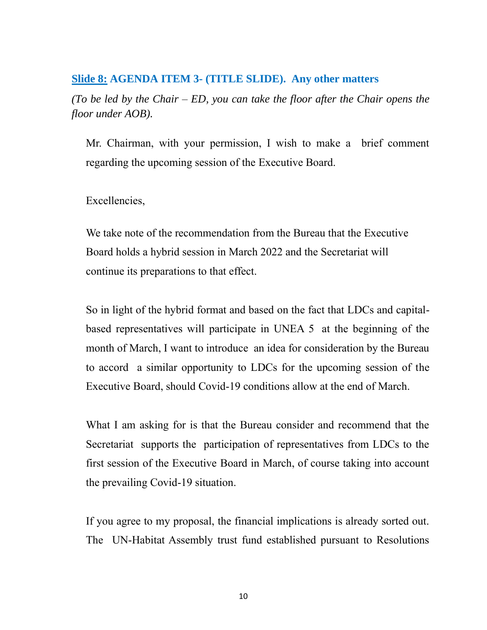#### **Slide 8: AGENDA ITEM 3- (TITLE SLIDE). Any other matters**

*(To be led by the Chair – ED, you can take the floor after the Chair opens the floor under AOB).*

Mr. Chairman, with your permission, I wish to make a brief comment regarding the upcoming session of the Executive Board.

#### Excellencies,

We take note of the recommendation from the Bureau that the Executive Board holds a hybrid session in March 2022 and the Secretariat will continue its preparations to that effect.

So in light of the hybrid format and based on the fact that LDCs and capitalbased representatives will participate in UNEA 5 at the beginning of the month of March, I want to introduce an idea for consideration by the Bureau to accord a similar opportunity to LDCs for the upcoming session of the Executive Board, should Covid-19 conditions allow at the end of March.

What I am asking for is that the Bureau consider and recommend that the Secretariat supports the participation of representatives from LDCs to the first session of the Executive Board in March, of course taking into account the prevailing Covid-19 situation.

If you agree to my proposal, the financial implications is already sorted out. The UN-Habitat Assembly trust fund established pursuant to Resolutions